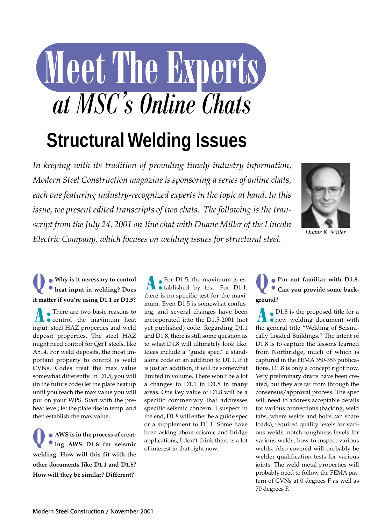# *at MSC s Online Chats ,* **Structural Welding Issues**

*In keeping with its tradition of providing timely industry information, Modern Steel Construction magazine is sponsoring a series of online chats, each one featuring industry-recognized experts in the topic at hand. In this issue, we present edited transcripts of two chats. The following is the tran-*

*script from the July 24, 2001 on-line chat with Duane Miller of the Lincoln*

*Electric Company, which focuses on welding issues for structural steel.* 



*Duane K. Miller*

## **Q: Why is it necessary to control heat input in welding? Does it matter if you're using D1.1 or D1.5?**

**A** There are two basic reasons to control the maximum heat input: steel HAZ properties and weld deposit properties. The steel HAZ might need control for Q&T steels, like A514. For weld deposits, the most important property to control is weld CVNs. Codes treat the max value somewhat differently. In D1.5, you will (in the future code) let the plate heat up until you reach the max value you will put on your WPS. Start with the preheat level; let the plate rise in temp. and then establish the max value.

**Q: AWS is in the process of creat-ing AWS D1.8 for seismic welding. How will this fit with the other documents like D1.1 and D1.5? How will they be similar? Different?**

**A:** For D1.5, the maximum is est. For D1.1, there is no specific test for the maximum. Even D1.5 is somewhat confusing, and several changes have been incorporated into the D1.5-2001 (not yet published) code. Regarding D1.1 and D1.8, there is still some question as to what D1.8 will ultimately look like. Ideas include a "guide spec," a standalone code or an addition to D1.1. If it is just an addition, it will be somewhat limited in volume. There won't be a lot a changes to D1.1 in D1.8 in many areas. One key value of D1.8 will be a specific commentary that addresses specific seismic concern. I suspect in the end, D1.8 will either be a guide spec or a supplement to D1.1. Some have been asking about seismic and bridge applications; I don't think there is a lot of interest in that right now.

**Q: I'm not familiar with D1.8. Can you provide some background?**

**A:** PD1.8 is the proposed title for a the general title "Welding of Seismically Loaded Buildings." The intent of D1.8 is to capture the lessons learned from Northridge, much of which is captured in the FEMA 350-353 publications. D1.8 is only a concept right now. Very preliminary drafts have been created, but they are far from through the consensus/approval process. The spec will need to address acceptable details for various connections (backing, weld tabs, where welds and bolts can share loads), required quality levels for various welds, notch toughness levels for various welds, how to inspect various welds. Also covered will probably be welder qualification tests for various joints. The weld metal properties will probably need to follow the FEMA pattern of CVNs at 0 degrees F as well as 70 degrees F.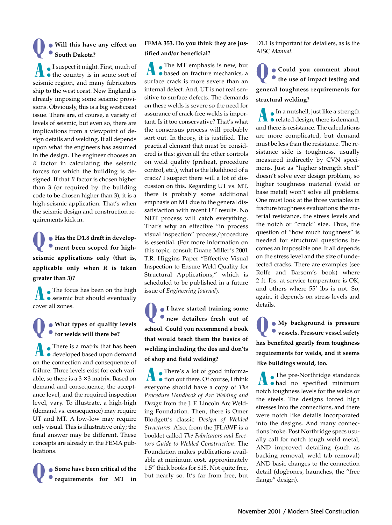### **Q: Will this have any effect on South Dakota?**

**A:** I suspect it might. First, much of  $\bullet$  the country is in some sort of seismic region, and many fabricators ship to the west coast. New England is already imposing some seismic provisions. Obviously, this is a big west coast issue. There are, of course, a variety of levels of seismic, but even so, there are implications from a viewpoint of design details and welding. It all depends upon what the engineers has assumed in the design. The engineer chooses an *R* factor in calculating the seismic forces for which the building is designed. If that *R* factor is chosen higher than 3 (or required by the building code to be chosen higher than 3), it is a high-seismic application. That's when the seismic design and construction requirements kick in.

**Q** • Has the D1.8 draft in develop-<br> **ment been scoped for highseismic applications only (that is, applicable only when** *R* **is taken greater than 3)?**

**A:** The focus has been on the high seismic but should eventually cover all zones.

#### **Q: What types of quality levels for welds will there be?**

**A a:** There is a matrix that has been developed based upon demand on the connection and consequence of failure. Three levels exist for each variable, so there is a  $3 \times 3$  matrix. Based on demand and consequence, the acceptance level, and the required inspection level, vary. To illustrate, a high-high (demand vs. consequence) may require UT and MT. A low-low may require only visual. This is illustrative only; the final answer may be different. These concepts are already in the FEMA publications.

**Q: Some have been critical of the requirements for MT in**

#### **FEMA 353. Do you think they are justified and/or beneficial?**

**A:** The MT emphasis is new, but based on fracture mechanics, a surface crack is more severe than an internal defect. And, UT is not real sensitive to surface defects. The demands on these welds is severe so the need for assurance of crack-free welds is important. Is it too conservative? That's what the consensus process will probably sort out. In theory, it is justified. The practical element that must be considered is this: given all the other controls on weld quality (preheat, procedure control, etc.), what is the likelihood of a crack? I suspect there will a lot of discussion on this. Regarding UT vs. MT, there is probably some additional emphasis on MT due to the general dissatisfaction with recent UT results. No NDT process will catch everything. That's why an effective "in process visual inspection" process/procedure is essential. (For more information on this topic, consult Duane Miller's 2001 T.R. Higgins Paper "Effective Visual Inspection to Ensure Weld Quality for Structural Applications," which is scheduled to be published in a future issue of *Engineering Journal*).

**Q: I have started training some new detailers fresh out of school. Could you recommend a book that would teach them the basics of welding including the dos and don'ts of shop and field welding?**

**There's a lot of good informa-** $\bullet$  tion out there. Of course, I think everyone should have a copy of *The Procedure Handbook of Arc Welding and Design* from the J. F. Lincoln Arc Welding Foundation. Then, there is Omer Blodgett's classic *Design of Welded Structures*. Also, from the JFLAWF is a booklet called *The Fabricators and Erectors Guide to Welded Construction*. The Foundation makes publications available at minimum cost, approximately 1.5" thick books for \$15. Not quite free, but nearly so. It's far from free, but D1.1 is important for detailers, as is the AISC *Manual*.

**Q: Could you comment about the use of impact testing and general toughness requirements for structural welding?**

**A:** In a nutshell, just like a strength • related design, there is demand, and there is resistance. The calculations are more complicated, but demand must be less than the resistance. The resistance side is toughness, usually measured indirectly by CVN specimens. Just as "higher strength steel" doesn't solve ever design problem, so higher toughness material (weld or base metal) won't solve all problems. One must look at the three variables in fracture toughness evaluations: the material resistance, the stress levels and the notch or "crack" size. Thus, the question of "how much toughness" is needed for structural questions becomes an impossible one. It all depends on the stress level and the size of undetected cracks. There are examples (see Rolfe and Barsom's book) where 2 ft.-lbs. at service temperature is OK, and others where 55' lbs is not. So, again, it depends on stress levels and details.

**Q: My background is pressure vessels. Pressure vessel safety has benefited greatly from toughness requirements for welds, and it seems like buildings would, too.**

**The pre-Northridge standards** had no specified minimum notch toughness levels for the welds or the steels. The designs forced high stresses into the connections, and there were notch like details incorporated into the designs. And many connections broke. Post Northridge specs usually call for notch tough weld metal, AND improved detailing (such as backing removal, weld tab removal) AND basic changes to the connection detail (dogbones, haunches, the "free flange" design).